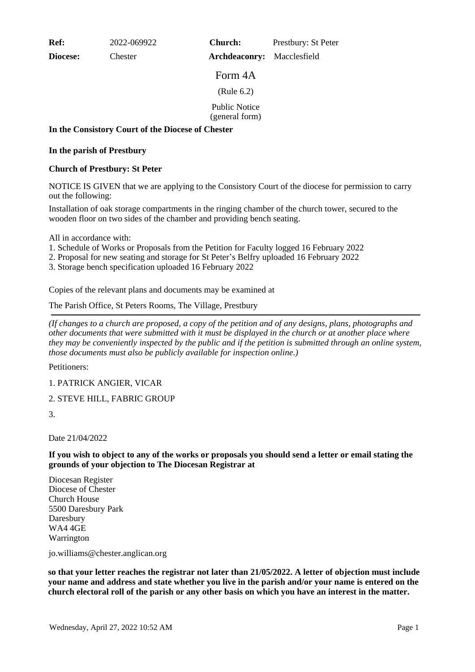**Ref:** 2022-069922

**Diocese:** Chester

**Archdeaconry:** Macclesfield **Church:** Prestbury: St Peter

Form 4A (Rule 6.2)

Public Notice

(general form)

## **In the Consistory Court of the Diocese of Chester**

## **In the parish of Prestbury**

## **Church of Prestbury: St Peter**

NOTICE IS GIVEN that we are applying to the Consistory Court of the diocese for permission to carry out the following:

Installation of oak storage compartments in the ringing chamber of the church tower, secured to the wooden floor on two sides of the chamber and providing bench seating.

All in accordance with:

- 1. Schedule of Works or Proposals from the Petition for Faculty logged 16 February 2022
- 2. Proposal for new seating and storage for St Peter's Belfry uploaded 16 February 2022
- 3. Storage bench specification uploaded 16 February 2022

Copies of the relevant plans and documents may be examined at

The Parish Office, St Peters Rooms, The Village, Prestbury

*(If changes to a church are proposed, a copy of the petition and of any designs, plans, photographs and other documents that were submitted with it must be displayed in the church or at another place where they may be conveniently inspected by the public and if the petition is submitted through an online system, those documents must also be publicly available for inspection online.)*

Petitioners:

1. PATRICK ANGIER, VICAR

2. STEVE HILL, FABRIC GROUP

3.

Date 21/04/2022

**If you wish to object to any of the works or proposals you should send a letter or email stating the grounds of your objection to The Diocesan Registrar at**

Diocesan Register Diocese of Chester Church House 5500 Daresbury Park Daresbury WA4 4GE Warrington

jo.williams@chester.anglican.org

**so that your letter reaches the registrar not later than 21/05/2022. A letter of objection must include your name and address and state whether you live in the parish and/or your name is entered on the church electoral roll of the parish or any other basis on which you have an interest in the matter.**